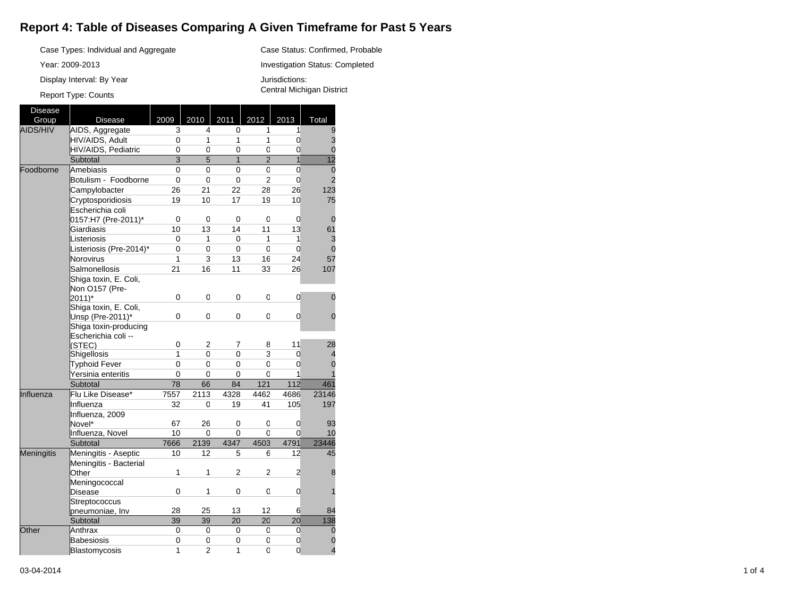## **Report 4: Table of Diseases Comparing A Given Timeframe for Past 5 Years**

Case Status: Confirmed, Probable Investigation Status: Completed

Jurisdictions:

Central Michigan District

Case Types: Individual and Aggregate

Year: 2009-2013

Display Interval: By Year

## Report Type: Counts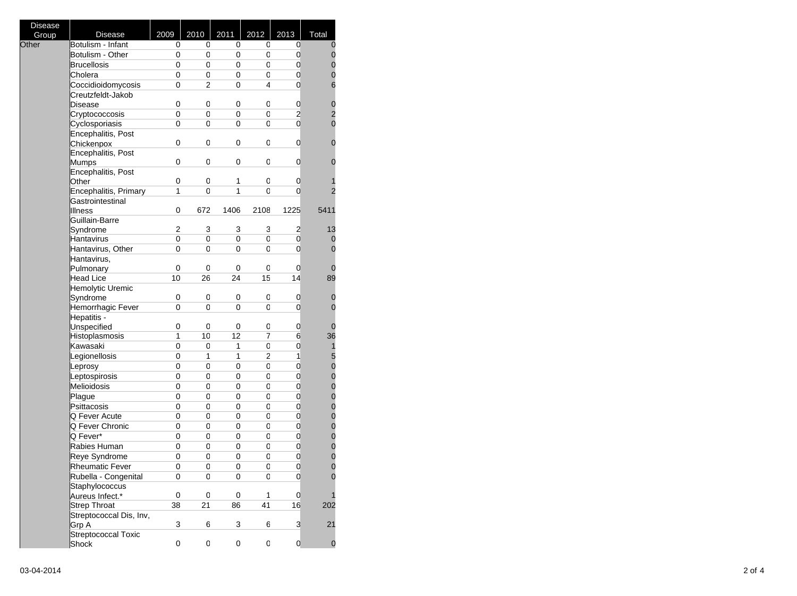| <b>Disease</b> |                         |                         |      |      |              |                |                |
|----------------|-------------------------|-------------------------|------|------|--------------|----------------|----------------|
| Group          | <b>Disease</b>          | 2009                    | 2010 | 2011 | 2012         | 2013           | Total          |
| Other          | Botulism - Infant       | 0                       | 0    | 0    | 0            | 0              | 0              |
|                | Botulism - Other        | 0                       | 0    | 0    | 0            | 0              | $\mathbf 0$    |
|                | <b>Brucellosis</b>      | 0                       | 0    | 0    | 0            | 0              | $\mathbf{0}$   |
|                | Cholera                 | 0                       | 0    | 0    | 0            | 0              | 0              |
|                | Coccidioidomycosis      | 0                       | 2    | 0    | 4            | 0              | 6              |
|                | Creutzfeldt-Jakob       |                         |      |      |              |                |                |
|                | Disease                 | 0                       | 0    | 0    | 0            | 0              | $\mathbf 0$    |
|                | Cryptococcosis          | 0                       | 0    | 0    | 0            | $\overline{c}$ | $\overline{a}$ |
|                | Cyclosporiasis          | 0                       | 0    | 0    | 0            | $\mathbf 0$    | 0              |
|                | Encephalitis, Post      |                         |      |      |              |                |                |
|                | Chickenpox              | 0                       | 0    | 0    | 0            | 0              | 0              |
|                | Encephalitis, Post      |                         |      |      |              |                |                |
|                | Mumps                   | 0                       | 0    | 0    | 0            | 0              | 0              |
|                | Encephalitis, Post      |                         |      |      |              |                |                |
|                | Other                   | 0                       | 0    | 1    | 0            | 0              |                |
|                | Encephalitis, Primary   | 1                       | 0    | 1    | 0            | 0              | 2              |
|                | Gastrointestinal        |                         |      |      |              |                |                |
|                | <b>Illness</b>          | 0                       | 672  | 1406 | 2108         | 1225           | 5411           |
|                | Guillain-Barre          |                         |      |      |              |                |                |
|                | Svndrome                | $\overline{\mathbf{c}}$ | 3    | 3    | 3            | 2              | 13             |
|                | Hantavirus              | 0                       | 0    | 0    | 0            | 0              | 0              |
|                | Hantavirus, Other       | 0                       | 0    | 0    | 0            | 0              | 0              |
|                | Hantavirus,             |                         |      |      |              |                |                |
|                | Pulmonary               | 0                       | 0    | 0    | 0            | 0              | 0              |
|                | Head Lice               | 10                      | 26   | 24   | 15           | 14             | 89             |
|                | <b>Hemolytic Uremic</b> |                         |      |      |              |                |                |
|                | Syndrome                | 0                       | 0    | 0    | 0            | 0              | 0              |
|                | Hemorrhagic Fever       | 0                       | 0    | 0    | 0            | 0              | 0              |
|                | Hepatitis -             |                         |      |      |              |                |                |
|                | Unspecified             | 0                       | 0    | 0    | 0            | 0              | 0              |
|                | Histoplasmosis          | $\mathbf{1}$            | 10   | 12   | 7            | 6              | 36             |
|                | Kawasaki                | 0                       | 0    | 1    | 0            | 0              | 1              |
|                | Legionellosis           | 0                       | 1    | 1    | 2            | 1              |                |
|                | Leprosy                 | 0                       | 0    | 0    | 0            | 0              | $\frac{5}{0}$  |
|                | Leptospirosis           | 0                       | 0    | 0    | 0            | 0              | $\mathbf{0}$   |
|                |                         |                         |      |      |              |                |                |
|                | Melioidosis             | 0                       | 0    | 0    | 0            | 0              | $\mathbf{0}$   |
|                | Plague                  | 0                       | 0    | 0    | 0            | 0              | $\mathbf{0}$   |
|                | Psittacosis             | 0                       | 0    | 0    | 0            | $\mathbf 0$    | $\mathbf{0}$   |
|                | Q Fever Acute           | 0                       | 0    | 0    | 0            | 0              | $\mathbf{0}$   |
|                | Q Fever Chronic         | 0                       | 0    | 0    | 0            | 0              | $\mathbf{0}$   |
|                | Q Fever*                | 0                       | 0    | 0    | 0            | 0              | $\mathbf{0}$   |
|                | Rabies Human            | 0                       | 0    | 0    | 0            | 0              | $\mathbf{0}$   |
|                | Reye Syndrome           | 0                       | 0    | 0    | 0            | 0              | $\mathbf{0}$   |
|                | <b>Rheumatic Fever</b>  | 0                       | 0    | 0    | 0            | 0              | $\overline{0}$ |
|                | Rubella - Congenital    | 0                       | 0    | 0    | 0            | 0              | 0              |
|                | Staphylococcus          |                         |      |      |              |                |                |
|                | Aureus Infect.*         | 0                       | 0    | 0    | $\mathbf{1}$ | 0              |                |
|                | <b>Strep Throat</b>     | 38                      | 21   | 86   | 41           | 16             | 202            |
|                | Streptococcal Dis, Inv, |                         |      |      |              |                |                |
|                | Grp A                   | 3                       | 6    | 3    | 6            | 3              | 21             |
|                | Streptococcal Toxic     |                         |      |      |              |                |                |
|                | Shock                   | 0                       | 0    | 0    | 0            | 0              | $\mathbf 0$    |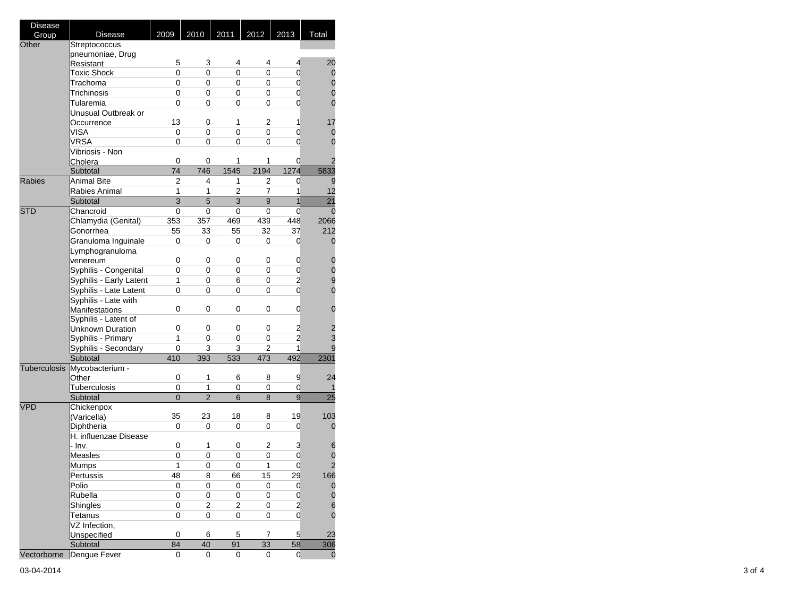| <b>Disease</b>      |                         |                           |                  |                         |                 |                |                                  |
|---------------------|-------------------------|---------------------------|------------------|-------------------------|-----------------|----------------|----------------------------------|
| Group               | <b>Disease</b>          | 2009                      | 2010             | 2011                    | 2012            | 2013           | Total                            |
| Other               | Streptococcus           |                           |                  |                         |                 |                |                                  |
|                     | pneumoniae, Drug        |                           |                  |                         |                 |                |                                  |
|                     | Resistant               | 5                         | 3                | 4                       | 4               | 4              | 20                               |
|                     | <b>Toxic Shock</b>      | 0                         | 0                | 0                       | 0               | 0              | $\boldsymbol{0}$                 |
|                     | Trachoma                | 0                         | 0                | 0                       | 0               | 0              | $\mathbf 0$                      |
|                     | Trichinosis             | 0                         | 0                | 0                       | 0               | 0              | $\mathbf{0}$                     |
|                     | Tularemia               | 0                         | 0                | 0                       | 0               | 0              | $\overline{0}$                   |
|                     | Unusual Outbreak or     |                           |                  |                         |                 |                |                                  |
|                     | Occurrence              | 13                        | 0                | 1                       | 2               | 1              | 17                               |
|                     | VISA                    | 0                         | 0                | 0                       | 0               | 0              | 0                                |
|                     | <b>VRSA</b>             | 0                         | 0                | 0                       | 0               | 0              | $\overline{0}$                   |
|                     | Vibriosis - Non         |                           |                  |                         |                 |                |                                  |
|                     | Cholera                 | 0                         | 0                | 1                       | 1               | 0              | $\overline{\mathbf{c}}$          |
|                     | Subtotal                | 74                        | 746              | 1545                    | 2194            | 1274           | 5833                             |
| <b>Rabies</b>       | Animal Bite             | 2                         | 4                | 1                       | 2               | 0              | 9                                |
|                     | Rabies Animal           | 1                         | 1                | $\overline{2}$          | 7               | $\mathbf{1}$   | 12                               |
|                     | Subtotal                | $\overline{\overline{3}}$ | $\overline{5}$   | 3                       | $\mathsf g$     | $\mathbf{1}$   | $\overline{21}$                  |
| STD                 | Chancroid               | 0                         | 0                | 0                       | 0               | 0              | $\overline{0}$                   |
|                     | Chlamydia (Genital)     | 353                       | 357              | 469                     | 439             | 448            | 2066                             |
|                     | Gonorrhea               | 55                        | 33               | 55                      | 32              | 37             | 212                              |
|                     | Granuloma Inguinale     | 0                         | 0                | 0                       | 0               | 0              | 0                                |
|                     | Lymphogranuloma         |                           |                  |                         |                 |                |                                  |
|                     | venereum                | 0                         | 0                | 0                       | 0               | 0              | 0                                |
|                     | Syphilis - Congenital   | 0                         | 0                | 0                       | 0               | 0              | $\mathbf{0}$                     |
|                     | Syphilis - Early Latent | 1                         | 0                | 6                       | 0               | $\overline{c}$ | $\frac{9}{0}$                    |
|                     | Syphilis - Late Latent  | 0                         | 0                | 0                       | 0               | 0              |                                  |
|                     | Syphilis - Late with    |                           |                  |                         |                 |                |                                  |
|                     | Manifestations          | 0                         | 0                | 0                       | 0               | 0              | $\mathbf{0}$                     |
|                     | Syphilis - Latent of    |                           |                  |                         |                 |                |                                  |
|                     | <b>Unknown Duration</b> | 0                         | 0                | 0                       | 0               | $\overline{a}$ | $\frac{2}{3}$                    |
|                     | Syphilis - Primary      | 1                         | 0                | 0                       | 0               | $\overline{a}$ |                                  |
|                     | Syphilis - Secondary    | 0                         | 3                | 3                       | $\overline{2}$  | $\mathbf{1}$   | 9                                |
|                     | Subtotal                | 410                       | 393              | 533                     | 473             | 492            | 2301                             |
| <b>Tuberculosis</b> | Mycobacterium -         |                           |                  |                         |                 |                |                                  |
|                     | Other                   | 0                         | 1                | 6                       | 8               | 9              | 24                               |
|                     | <b>Tuberculosis</b>     | 0                         | 1                | 0                       | 0               | 0              | 1                                |
|                     | Subtotal                | $\overline{0}$            | $\overline{2}$   | 6                       | 8               | 9              | 25                               |
| VPD                 | Chickenpox              |                           |                  |                         |                 |                |                                  |
|                     | (Varicella)             | 35                        | 23               | 18                      | 8               | 19             | 103                              |
|                     | Diphtheria              | 0                         | 0                | 0                       | 0               | 0              | 0                                |
|                     | H. influenzae Disease   |                           |                  |                         |                 |                |                                  |
|                     | - Inv.                  | 0                         | 1                | 0                       | 2               | 3              | 6                                |
|                     | Measles                 | 0                         | 0                | 0                       | 0               | $\mathbf 0$    | $\frac{0}{2}$                    |
|                     | Mumps                   | 1                         | 0                | 0                       | 1               | 0              |                                  |
|                     | Pertussis               | 48                        | 8                | 66                      | 15              | 29             | 166                              |
|                     | Polio                   | 0                         | 0                | $\mathsf 0$             | 0               | $\mathbf 0$    | $\mathbf 0$                      |
|                     | Rubella                 | 0                         | 0                | 0                       | 0               | $\mathbf 0$    |                                  |
|                     | Shingles                | 0                         | $\boldsymbol{2}$ | $\overline{\mathbf{c}}$ | 0               | $\overline{a}$ | $\begin{matrix}0\\6\end{matrix}$ |
|                     | Tetanus                 | 0                         | 0                | 0                       | 0               | $\mathbf 0$    | $\mathbf{0}$                     |
|                     | VZ Infection,           |                           |                  |                         |                 |                |                                  |
|                     | Unspecified             | 0                         | 6                | 5                       | 7               | 5              | 23                               |
|                     | Subtotal                | $\overline{84}$           | 40               | 91                      | $\overline{33}$ | 58             | 306                              |
| Vectorborne         | Dengue Fever            | $\pmb{0}$                 | 0                | $\pmb{0}$               | 0               | $\mathbf 0$    | 0                                |